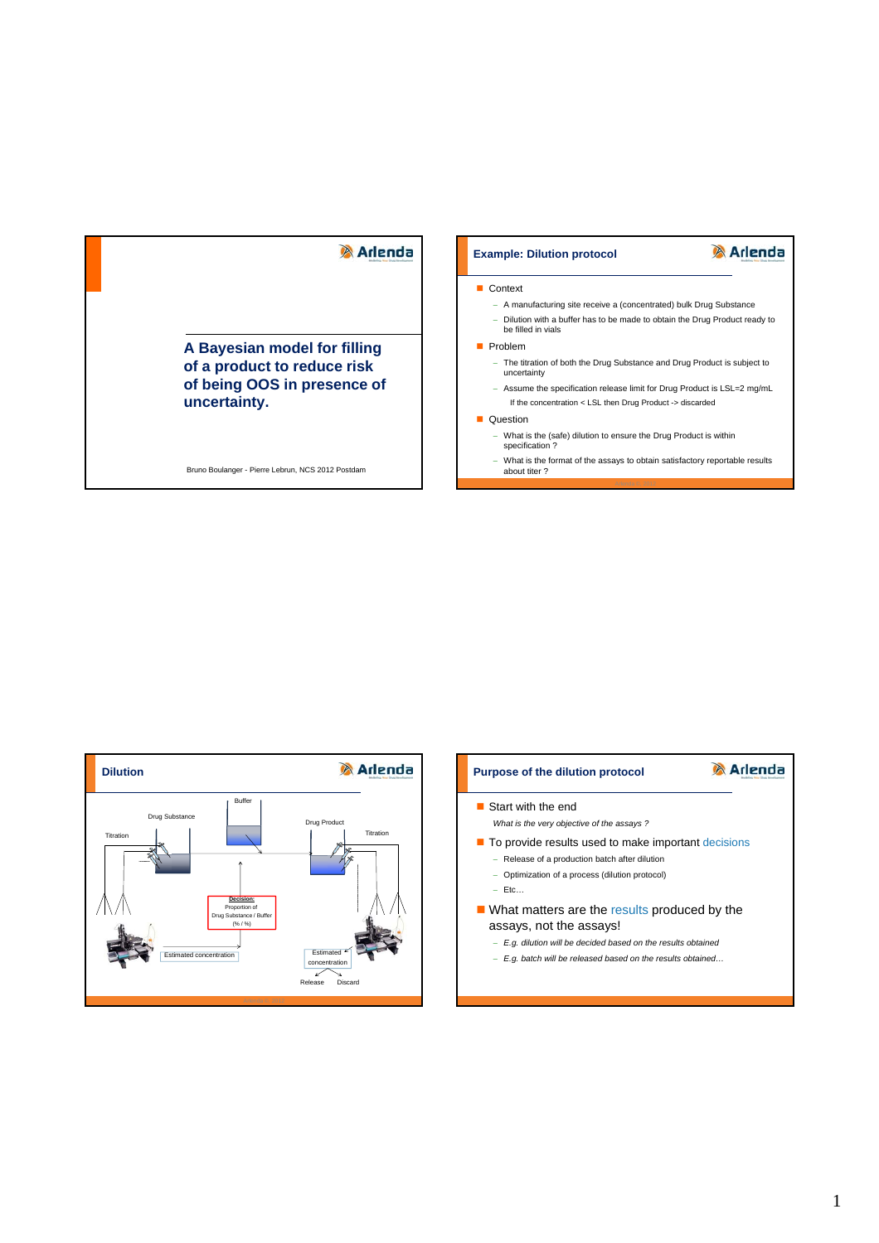# **Arlenda**

**A Bayesian model for filling of a product to reduce risk of being OOS in presence of uncertainty.**

Bruno Boulanger - Pierre Lebrun, NCS 2012 Postdam

### **Example: Dilution protocol**

# **Arlenda**

#### **Context**

- A manufacturing site receive a (concentrated) bulk Drug Substance - Dilution with a buffer has to be made to obtain the Drug Product ready to be filled in vials
- **Problem** 
	- The titration of both the Drug Substance and Drug Product is subject to uncertainty
	- Assume the specification release limit for Drug Product is LSL=2 mg/mL If the concentration < LSL then Drug Product -> discarded

#### **Question**

- What is the (safe) dilution to ensure the Drug Product is within specification ?
- What is the format of the assays to obtain satisfactory reportable results about titer ?



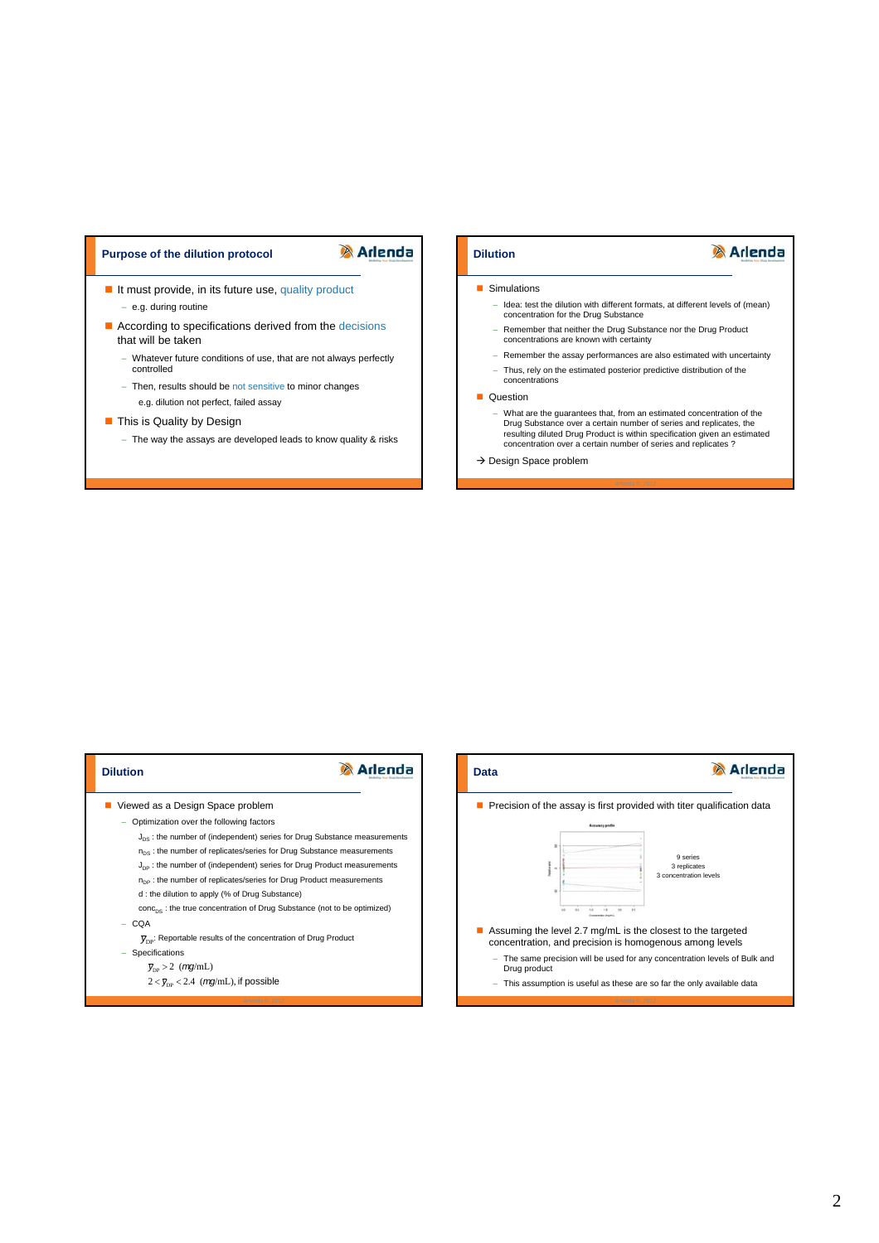# **Purpose of the dilution protocol <b>Dividends Dilution**

- e.g. during routine

that will be taken

**This is Quality by Design** 

controlled

If must provide, in its future use, quality product

According to specifications derived from the decisions

- Then, results should be not sensitive to minor changes

e.g. dilution not perfect, failed assay

Whatever future conditions of use, that are not always perfectly

- The way the assays are developed leads to know quality & risks

**Arlenda** 

#### **Simulations**

- Idea: test the dilution with different formats, at different levels of (mean)<br>concentration for the Drug Substance
- Remember that neither the Drug Substance nor the Drug Product concentrations are known with certainty
- Remember the assay performances are also estimated with uncertainty
- Thus, rely on the estimated posterior predictive distribution of the concentrations

#### **Question**

- What are the guarantees that, from an estimated concentration of the Drug Substance over a certain number of series and replicates, the resulting diluted Drug Product is within specification given an estimated concentration over a certain number of series and replicates ?
- $\rightarrow$  Design Space problem



 $2 < \bar{y}_{\text{DP}} < 2.4$  (*mg*/mL), if possible

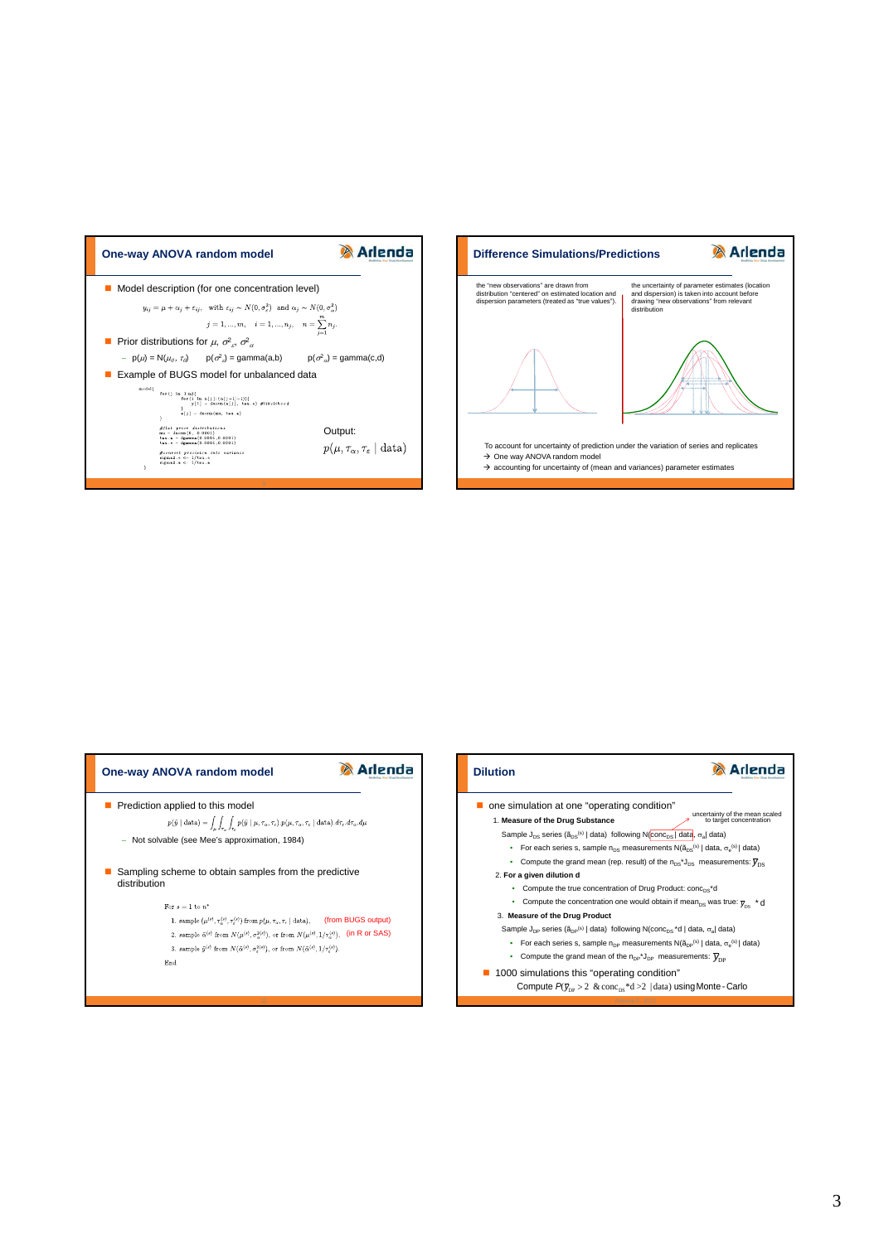



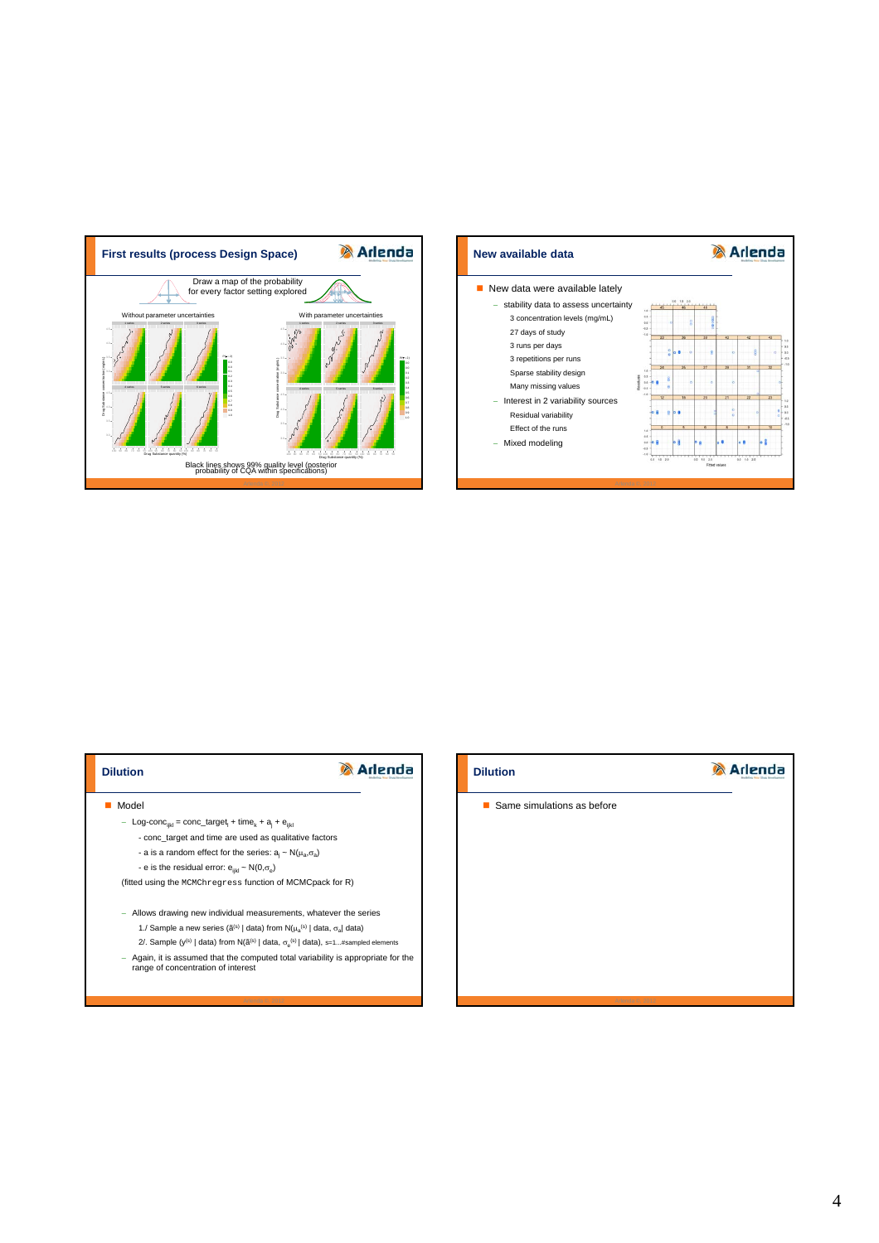





# **Dilution** Same simulations as before

**Arlenda**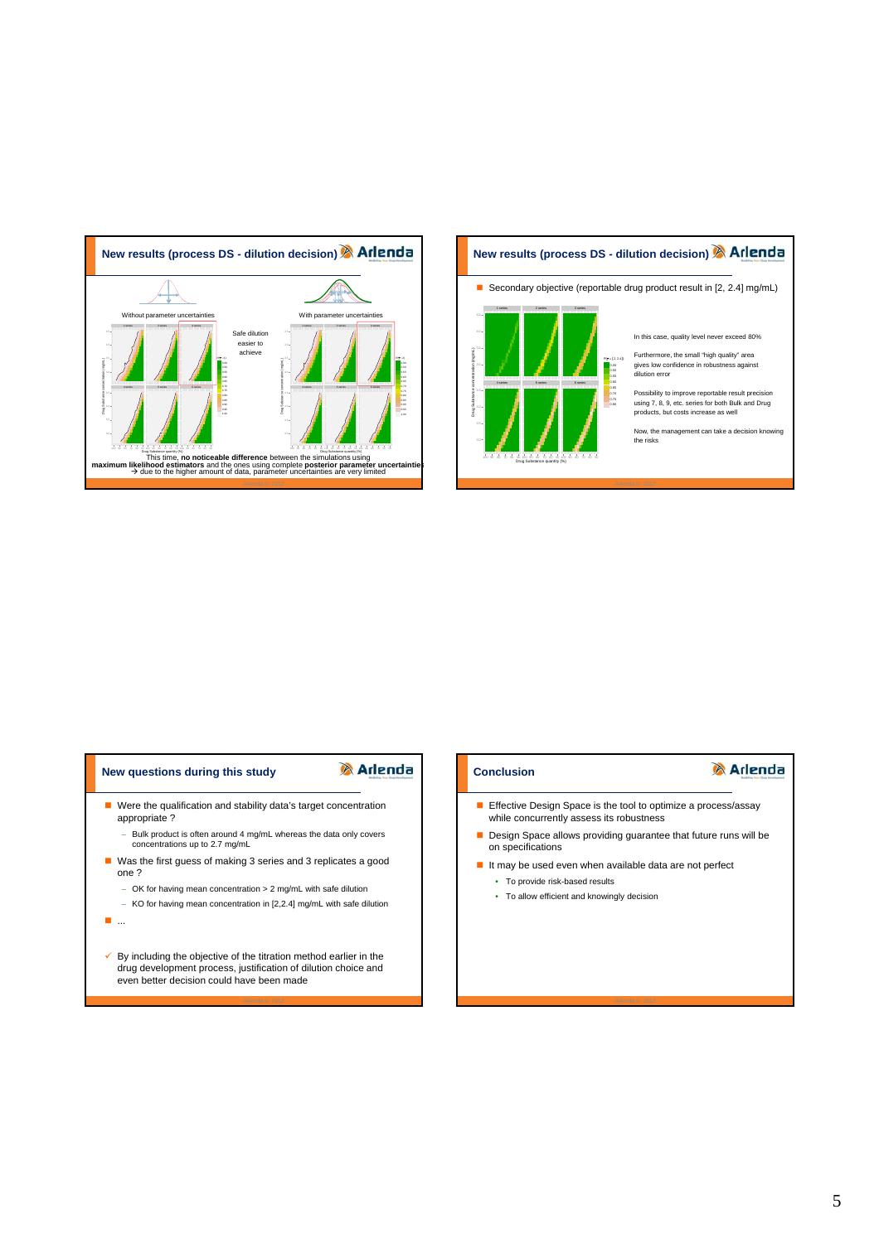

# **New results (process DS - dilution decision)**

■ Secondary objective (reportable drug product result in [2, 2.4] mg/mL)



In this case, quality level never exceed 80%

Furthermore, the small "high quality" area gives low confidence in robustness against dilution error

Possibility to improve reportable result precision using 7, 8, 9, etc. series for both Bulk and Drug products, but costs increase as well

Now, the management can take a decision know the risks

# **New questions during this study**

# **A** Arlenda

- Were the qualification and stability data's target concentration appropriate ?
	- Bulk product is often around 4 mg/mL whereas the data only covers concentrations up to 2.7 mg/mL
- Was the first guess of making 3 series and 3 replicates a good one ?
	- OK for having mean concentration > 2 mg/mL with safe dilution
	- KO for having mean concentration in [2,2.4] mg/mL with safe dilution
- ...
- $\checkmark$  By including the objective of the titration method earlier in the drug development process, justification of dilution choice and even better decision could have been made

## **Conclusion**

# **Arlenda**

- **Effective Design Space is the tool to optimize a process/assay** while concurrently assess its robustness
- Design Space allows providing guarantee that future runs will be on specifications
- It may be used even when available data are not perfect • To provide risk-based results
	- To allow efficient and knowingly decision